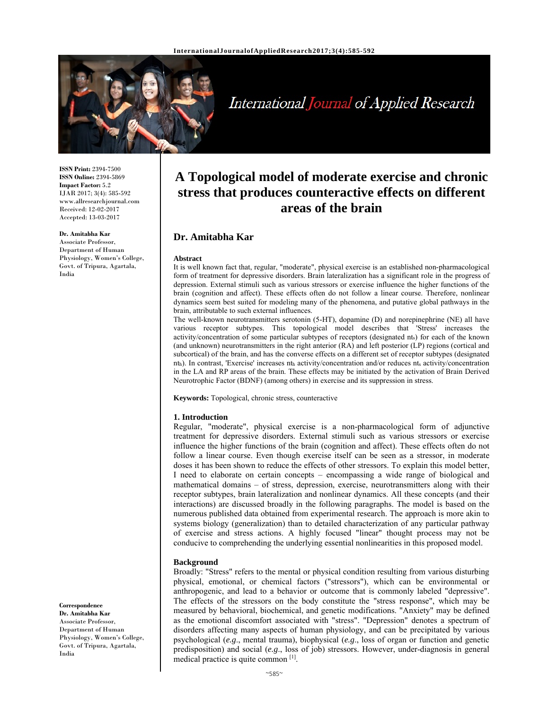

# International Journal of Applied Research

**ISSN Print:** 2394-7500 **ISSN Online:** 2394-5869 **Impact Factor:** 5.2 IJAR 2017; 3(4): 585-592 www.allresearchjournal.com Received: 12-02-2017 Accepted: 13-03-2017

#### **Dr. Amitabha Kar**

Department of Human Govt. of Tripura, Agartala, India

Associate Professor, Physiology, Women's College,

## **A Topological model of moderate exercise and chronic stress that produces counteractive effects on different areas of the brain**

### **Dr. Amitabha Kar**

#### **Abstract**

It is well known fact that, regular, "moderate", physical exercise is an established non-pharmacological form of treatment for depressive disorders. Brain lateralization has a significant role in the progress of depression. External stimuli such as various stressors or exercise influence the higher functions of the brain (cognition and affect). These effects often do not follow a linear course. Therefore, nonlinear dynamics seem best suited for modeling many of the phenomena, and putative global pathways in the brain, attributable to such external influences.

The well-known neurotransmitters serotonin (5-HT), dopamine (D) and norepinephrine (NE) all have various receptor subtypes. This topological model describes that 'Stress' increases the activity/concentration of some particular subtypes of receptors (designated nts) for each of the known (and unknown) neurotransmitters in the right anterior (RA) and left posterior (LP) regions (cortical and subcortical) of the brain, and has the converse effects on a different set of receptor subtypes (designated nth). In contrast, 'Exercise' increases nth activity/concentration and/or reduces nts activity/concentration in the LA and RP areas of the brain. These effects may be initiated by the activation of Brain Derived Neurotrophic Factor (BDNF) (among others) in exercise and its suppression in stress.

**Keywords:** Topological, chronic stress, counteractive

#### **1. Introduction**

Regular, "moderate", physical exercise is a non-pharmacological form of adjunctive treatment for depressive disorders. External stimuli such as various stressors or exercise influence the higher functions of the brain (cognition and affect). These effects often do not follow a linear course. Even though exercise itself can be seen as a stressor, in moderate doses it has been shown to reduce the effects of other stressors. To explain this model better, I need to elaborate on certain concepts – encompassing a wide range of biological and mathematical domains – of stress, depression, exercise, neurotransmitters along with their receptor subtypes, brain lateralization and nonlinear dynamics. All these concepts (and their interactions) are discussed broadly in the following paragraphs. The model is based on the numerous published data obtained from experimental research. The approach is more akin to systems biology (generalization) than to detailed characterization of any particular pathway of exercise and stress actions. A highly focused "linear" thought process may not be conducive to comprehending the underlying essential nonlinearities in this proposed model.

#### **Background**

Broadly: "Stress" refers to the mental or physical condition resulting from various disturbing physical, emotional, or chemical factors ("stressors"), which can be environmental or anthropogenic, and lead to a behavior or outcome that is commonly labeled "depressive". The effects of the stressors on the body constitute the "stress response", which may be measured by behavioral, biochemical, and genetic modifications. "Anxiety" may be defined as the emotional discomfort associated with "stress". "Depression" denotes a spectrum of disorders affecting many aspects of human physiology, and can be precipitated by various psychological (*e.g*., mental trauma), biophysical (*e.g*., loss of organ or function and genetic predisposition) and social (*e.g*., loss of job) stressors. However, under-diagnosis in general medical practice is quite common [1].

**Correspondence Dr. Amitabha Kar**  Associate Professor,

Department of Human Physiology, Women's College, Govt. of Tripura, Agartala, India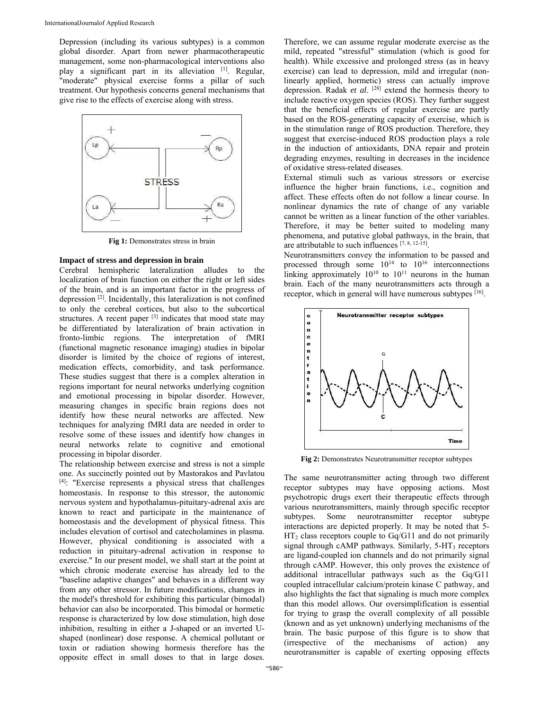Depression (including its various subtypes) is a common global disorder. Apart from newer pharmacotherapeutic management, some non-pharmacological interventions also play a significant part in its alleviation [1]. Regular, "moderate" physical exercise forms a pillar of such treatment. Our hypothesis concerns general mechanisms that give rise to the effects of exercise along with stress.



**Fig 1:** Demonstrates stress in brain

#### **Impact of stress and depression in brain**

Cerebral hemispheric lateralization alludes to the localization of brain function on either the right or left sides of the brain, and is an important factor in the progress of depression [2]. Incidentally, this lateralization is not confined to only the cerebral cortices, but also to the subcortical structures. A recent paper <sup>[3]</sup> indicates that mood state may be differentiated by lateralization of brain activation in fronto-limbic regions. The interpretation of fMRI (functional magnetic resonance imaging) studies in bipolar disorder is limited by the choice of regions of interest, medication effects, comorbidity, and task performance. These studies suggest that there is a complex alteration in regions important for neural networks underlying cognition and emotional processing in bipolar disorder. However, measuring changes in specific brain regions does not identify how these neural networks are affected. New techniques for analyzing fMRI data are needed in order to resolve some of these issues and identify how changes in neural networks relate to cognitive and emotional processing in bipolar disorder.

The relationship between exercise and stress is not a simple one. As succinctly pointed out by Mastorakos and Pavlatou [4]: "Exercise represents a physical stress that challenges homeostasis. In response to this stressor, the autonomic nervous system and hypothalamus-pituitary-adrenal axis are known to react and participate in the maintenance of homeostasis and the development of physical fitness. This includes elevation of cortisol and catecholamines in plasma. However, physical conditioning is associated with a reduction in pituitary-adrenal activation in response to exercise." In our present model, we shall start at the point at which chronic moderate exercise has already led to the "baseline adaptive changes" and behaves in a different way from any other stressor. In future modifications, changes in the model's threshold for exhibiting this particular (bimodal) behavior can also be incorporated. This bimodal or hormetic response is characterized by low dose stimulation, high dose inhibition, resulting in either a J-shaped or an inverted Ushaped (nonlinear) dose response. A chemical pollutant or toxin or radiation showing hormesis therefore has the opposite effect in small doses to that in large doses.

Therefore, we can assume regular moderate exercise as the mild, repeated "stressful" stimulation (which is good for health). While excessive and prolonged stress (as in heavy exercise) can lead to depression, mild and irregular (nonlinearly applied, hormetic) stress can actually improve depression. Radak *et al*. [28] extend the hormesis theory to include reactive oxygen species (ROS). They further suggest that the beneficial effects of regular exercise are partly based on the ROS-generating capacity of exercise, which is in the stimulation range of ROS production. Therefore, they suggest that exercise-induced ROS production plays a role in the induction of antioxidants, DNA repair and protein degrading enzymes, resulting in decreases in the incidence of oxidative stress-related diseases.

External stimuli such as various stressors or exercise influence the higher brain functions, i.e., cognition and affect. These effects often do not follow a linear course. In nonlinear dynamics the rate of change of any variable cannot be written as a linear function of the other variables. Therefore, it may be better suited to modeling many phenomena, and putative global pathways, in the brain, that are attributable to such influences [7, 8, 12-15].

Neurotransmitters convey the information to be passed and processed through some  $10^{14}$  to  $10^{16}$  interconnections linking approximately  $10^{10}$  to  $10^{11}$  neurons in the human brain. Each of the many neurotransmitters acts through a receptor, which in general will have numerous subtypes [16].



**Fig 2:** Demonstrates Neurotransmitter receptor subtypes

The same neurotransmitter acting through two different receptor subtypes may have opposing actions. Most psychotropic drugs exert their therapeutic effects through various neurotransmitters, mainly through specific receptor subtypes. Some neurotransmitter receptor subtype interactions are depicted properly. It may be noted that 5-  $HT_2$  class receptors couple to Gq/G11 and do not primarily signal through cAMP pathways. Similarly, 5-HT<sub>3</sub> receptors are ligand-coupled ion channels and do not primarily signal through cAMP. However, this only proves the existence of additional intracellular pathways such as the Gq/G11 coupled intracellular calcium/protein kinase C pathway, and also highlights the fact that signaling is much more complex than this model allows. Our oversimplification is essential for trying to grasp the overall complexity of all possible (known and as yet unknown) underlying mechanisms of the brain. The basic purpose of this figure is to show that (irrespective of the mechanisms of action) any neurotransmitter is capable of exerting opposing effects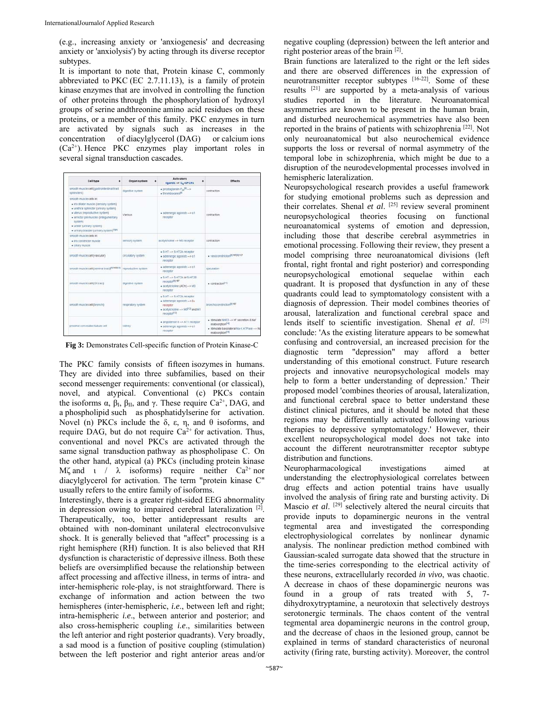(e.g., increasing anxiety or 'anxiogenesis' and decreasing anxiety or 'anxiolysis') by acting through its diverse receptor subtypes.

It is important to note that, Protein kinase C, commonly abbreviated to PKC (EC 2.7.11.13), is a family of protein kinase enzymes that are involved in controlling the function of other proteins through the phosphorylation of hydroxyl groups of serine andthreonine amino acid residues on these proteins, or a member of this family. PKC enzymes in turn are activated by signals such as increases in the concentration of diacylglycerol (DAG) or calcium ions (Ca2+). Hence PKC enzymes play important roles in several signal transduction cascades.

| Cell type<br>٠                                                                                                                                                                                                                                                         | Organ/system         | <b>Activators</b><br>ligands +> G_-GPCRs                                                                                                          | Effects                                                                                                                                            |
|------------------------------------------------------------------------------------------------------------------------------------------------------------------------------------------------------------------------------------------------------------------------|----------------------|---------------------------------------------------------------------------------------------------------------------------------------------------|----------------------------------------------------------------------------------------------------------------------------------------------------|
| smooth muscle cell (gastrointestinal tract<br>spiningters)                                                                                                                                                                                                             | digestive system     | · prostagiandin F <sub>3</sub> / <sup>RI</sup> --><br>· thrompousness!                                                                            | contraction                                                                                                                                        |
| smooth muscle cells in:<br>· Int diator muscle (sensory system)<br>· urethral sphincter (univary system)<br>· uterus (reproductive system)<br>· arrector più muscles (integumentary<br>system)<br>· ureter (urinary system)<br>· urinary bladder (urinary system)[791] | Various              | · adrenergic agorists -- > g1<br>receptor                                                                                                         | contraction                                                                                                                                        |
| smooth muscle cells in:<br>· Iris constructor muscle<br>· ciliary muscle                                                                                                                                                                                               | sensory system.      | scribitholms -> M3 receptor                                                                                                                       | contraction                                                                                                                                        |
| smooth muscle cell (vascular)                                                                                                                                                                                                                                          | circulatory system   | · 5-HT --> 5-HT2A receptor<br>· administration and a state<br>receptor                                                                            | · vasoconstriction(4144)91127                                                                                                                      |
| smooth muscle cell (seminal tract) is teaming                                                                                                                                                                                                                          | reproductive system. | $\bullet$ actrementic agonists $\rightarrow$ as<br>receptor                                                                                       | elatulation                                                                                                                                        |
| smooth muscle cell (Gi tract)                                                                                                                                                                                                                                          | digestive system.    | . 5-HT -- > 5-HT2A or 5-HT2D<br>receptor(9)187<br>· acetylcholme (ACh) -- > M3<br>receptor                                                        | · contraction <sup>[11]</sup>                                                                                                                      |
| smooth muscle cell (bronchi)                                                                                                                                                                                                                                           | respiratory system   | . 5-HT -- > 5-HT2A receptor<br>· adrenergic agonists --> du<br>receptor<br>· acetylcholme -- > M3 <sup>121</sup> and M1<br>receptor <sup>es</sup> | bronchoconstriction <sup>201</sup> <sup>167</sup>                                                                                                  |
| projetují convoluted tubule cell                                                                                                                                                                                                                                       | kidney               | · angiotensin 8 -- > AT1 receptor<br>· adrenergic agonists -- > is1<br>receptor                                                                   | · stimulate NHE3 -> H* secretion & Na*<br>reabsorption <sup>pig</sup><br>· stimulate basolateral Na-K ATPase -> Na<br>reabsorption <sup>[14]</sup> |

**Fig 3:** Demonstrates Cell-specific function of Protein Kinase-C

The PKC family consists of fifteen isozymes in humans. They are divided into three subfamilies, based on their second messenger requirements: conventional (or classical), novel, and atypical. Conventional (c) PKCs contain the isoforms  $\alpha$ ,  $\beta$ <sub>I</sub>,  $\beta$ <sub>II</sub>, and γ. These require Ca<sup>2+</sup>, DAG, and a phospholipid such as phosphatidylserine for activation. Novel (n) PKCs include the δ, ε, η, and  $θ$  isoforms, and require DAG, but do not require  $Ca^{2+}$  for activation. Thus, conventional and novel PKCs are activated through the same signal transduction pathway as phospholipase C. On the other hand, atypical (a) PKCs (including protein kinase Mζ and  $\iota$  / λ isoforms) require neither Ca<sup>2+</sup> nor diacylglycerol for activation. The term "protein kinase C" usually refers to the entire family of isoforms.

Interestingly, there is a greater right-sided EEG abnormality in depression owing to impaired cerebral lateralization [2]. Therapeutically, too, better antidepressant results are obtained with non-dominant unilateral electroconvulsive shock. It is generally believed that "affect" processing is a right hemisphere (RH) function. It is also believed that RH dysfunction is characteristic of depressive illness. Both these beliefs are oversimplified because the relationship between affect processing and affective illness, in terms of intra- and inter-hemispheric role-play, is not straightforward. There is exchange of information and action between the two hemispheres (inter-hemispheric, *i.e*., between left and right; intra-hemispheric *i.e*., between anterior and posterior; and also cross-hemispheric coupling *i.e*., similarities between the left anterior and right posterior quadrants). Very broadly, a sad mood is a function of positive coupling (stimulation) between the left posterior and right anterior areas and/or negative coupling (depression) between the left anterior and right posterior areas of the brain [2].

Brain functions are lateralized to the right or the left sides and there are observed differences in the expression of neurotransmitter receptor subtypes [16-22]. Some of these results [21] are supported by a meta-analysis of various studies reported in the literature. Neuroanatomical asymmetries are known to be present in the human brain, and disturbed neurochemical asymmetries have also been reported in the brains of patients with schizophrenia [22]. Not only neuroanatomical but also neurochemical evidence supports the loss or reversal of normal asymmetry of the temporal lobe in schizophrenia, which might be due to a disruption of the neurodevelopmental processes involved in hemispheric lateralization.

Neuropsychological research provides a useful framework for studying emotional problems such as depression and their correlates. Shenal *et al*. [25] review several prominent neuropsychological theories focusing on functional neuroanatomical systems of emotion and depression, including those that describe cerebral asymmetries in emotional processing. Following their review, they present a model comprising three neuroanatomical divisions (left frontal, right frontal and right posterior) and corresponding neuropsychological emotional sequelae within each quadrant. It is proposed that dysfunction in any of these quadrants could lead to symptomatology consistent with a diagnosis of depression. Their model combines theories of arousal, lateralization and functional cerebral space and lends itself to scientific investigation. Shenal *et al*. [25] conclude: 'As the existing literature appears to be somewhat confusing and controversial, an increased precision for the diagnostic term "depression" may afford a better understanding of this emotional construct. Future research projects and innovative neuropsychological models may help to form a better understanding of depression.' Their proposed model 'combines theories of arousal, lateralization, and functional cerebral space to better understand these distinct clinical pictures, and it should be noted that these regions may be differentially activated following various therapies to depressive symptomatology.' However, their excellent neuropsychological model does not take into account the different neurotransmitter receptor subtype distribution and functions.

Neuropharmacological investigations aimed understanding the electrophysiological correlates between drug effects and action potential trains have usually involved the analysis of firing rate and bursting activity. Di Mascio *et al.* <sup>[29]</sup> selectively altered the neural circuits that provide inputs to dopaminergic neurons in the ventral tegmental area and investigated the corresponding electrophysiological correlates by nonlinear dynamic analysis. The nonlinear prediction method combined with Gaussian-scaled surrogate data showed that the structure in the time-series corresponding to the electrical activity of these neurons, extracellularly recorded *in vivo*, was chaotic. A decrease in chaos of these dopaminergic neurons was found in a group of rats treated with 5, 7 dihydroxytryptamine, a neurotoxin that selectively destroys serotonergic terminals. The chaos content of the ventral tegmental area dopaminergic neurons in the control group, and the decrease of chaos in the lesioned group, cannot be explained in terms of standard characteristics of neuronal activity (firing rate, bursting activity). Moreover, the control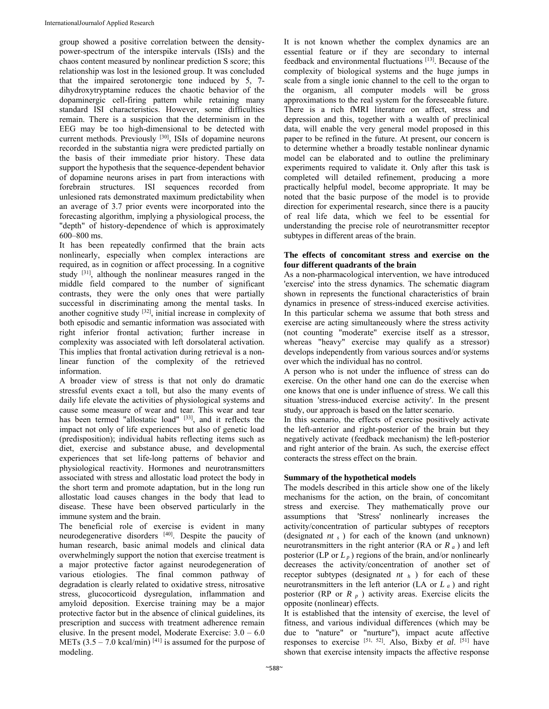group showed a positive correlation between the densitypower-spectrum of the interspike intervals (ISIs) and the chaos content measured by nonlinear prediction S score; this relationship was lost in the lesioned group. It was concluded that the impaired serotonergic tone induced by 5, 7 dihydroxytryptamine reduces the chaotic behavior of the dopaminergic cell-firing pattern while retaining many standard ISI characteristics. However, some difficulties remain. There is a suspicion that the determinism in the EEG may be too high-dimensional to be detected with current methods. Previously [30], ISIs of dopamine neurons recorded in the substantia nigra were predicted partially on the basis of their immediate prior history. These data support the hypothesis that the sequence-dependent behavior of dopamine neurons arises in part from interactions with forebrain structures. ISI sequences recorded from unlesioned rats demonstrated maximum predictability when an average of 3.7 prior events were incorporated into the forecasting algorithm, implying a physiological process, the "depth" of history-dependence of which is approximately 600–800 ms.

It has been repeatedly confirmed that the brain acts nonlinearly, especially when complex interactions are required, as in cognition or affect processing. In a cognitive study [31], although the nonlinear measures ranged in the middle field compared to the number of significant contrasts, they were the only ones that were partially successful in discriminating among the mental tasks. In another cognitive study [32], initial increase in complexity of both episodic and semantic information was associated with right inferior frontal activation; further increase in complexity was associated with left dorsolateral activation. This implies that frontal activation during retrieval is a nonlinear function of the complexity of the retrieved information.

A broader view of stress is that not only do dramatic stressful events exact a toll, but also the many events of daily life elevate the activities of physiological systems and cause some measure of wear and tear. This wear and tear has been termed "allostatic load" [33], and it reflects the impact not only of life experiences but also of genetic load (predisposition); individual habits reflecting items such as diet, exercise and substance abuse, and developmental experiences that set life-long patterns of behavior and physiological reactivity. Hormones and neurotransmitters associated with stress and allostatic load protect the body in the short term and promote adaptation, but in the long run allostatic load causes changes in the body that lead to disease. These have been observed particularly in the immune system and the brain.

The beneficial role of exercise is evident in many neurodegenerative disorders [40]. Despite the paucity of human research, basic animal models and clinical data overwhelmingly support the notion that exercise treatment is a major protective factor against neurodegeneration of various etiologies. The final common pathway of degradation is clearly related to oxidative stress, nitrosative stress, glucocorticoid dysregulation, inflammation and amyloid deposition. Exercise training may be a major protective factor but in the absence of clinical guidelines, its prescription and success with treatment adherence remain elusive. In the present model, Moderate Exercise:  $3.0 - 6.0$ METs  $(3.5 - 7.0 \text{ kcal/min})$  [41] is assumed for the purpose of modeling.

It is not known whether the complex dynamics are an essential feature or if they are secondary to internal feedback and environmental fluctuations [13]. Because of the complexity of biological systems and the huge jumps in scale from a single ionic channel to the cell to the organ to the organism, all computer models will be gross approximations to the real system for the foreseeable future. There is a rich fMRI literature on affect, stress and depression and this, together with a wealth of preclinical data, will enable the very general model proposed in this paper to be refined in the future. At present, our concern is to determine whether a broadly testable nonlinear dynamic model can be elaborated and to outline the preliminary experiments required to validate it. Only after this task is completed will detailed refinement, producing a more practically helpful model, become appropriate. It may be noted that the basic purpose of the model is to provide direction for experimental research, since there is a paucity of real life data, which we feel to be essential for understanding the precise role of neurotransmitter receptor subtypes in different areas of the brain.

#### **The effects of concomitant stress and exercise on the four different quadrants of the brain**

As a non-pharmacological intervention, we have introduced 'exercise' into the stress dynamics. The schematic diagram shown in represents the functional characteristics of brain dynamics in presence of stress-induced exercise activities. In this particular schema we assume that both stress and exercise are acting simultaneously where the stress activity (not counting "moderate" exercise itself as a stressor, whereas "heavy" exercise may qualify as a stressor) develops independently from various sources and/or systems over which the individual has no control.

A person who is not under the influence of stress can do exercise. On the other hand one can do the exercise when one knows that one is under influence of stress. We call this situation 'stress-induced exercise activity'. In the present study, our approach is based on the latter scenario.

In this scenario, the effects of exercise positively activate the left-anterior and right-posterior of the brain but they negatively activate (feedback mechanism) the left-posterior and right anterior of the brain. As such, the exercise effect conteracts the stress effect on the brain.

#### **Summary of the hypothetical models**

The models described in this article show one of the likely mechanisms for the action, on the brain, of concomitant stress and exercise. They mathematically prove our assumptions that 'Stress' nonlinearly increases the activity/concentration of particular subtypes of receptors (designated *nt <sup>s</sup>* ) for each of the known (and unknown) neurotransmitters in the right anterior (RA or *R <sup>a</sup>* ) and left posterior (LP or  $L_p$ ) regions of the brain, and/or nonlinearly decreases the activity/concentration of another set of receptor subtypes (designated *nt <sup>h</sup>* ) for each of these neurotransmitters in the left anterior (LA or *L <sup>a</sup>* ) and right posterior (RP or  $R_p$ ) activity areas. Exercise elicits the opposite (nonlinear) effects.

It is established that the intensity of exercise, the level of fitness, and various individual differences (which may be due to "nature" or "nurture"), impact acute affective responses to exercise  $[51, 52]$ . Also, Bixby *et al.*  $[51]$  have shown that exercise intensity impacts the affective response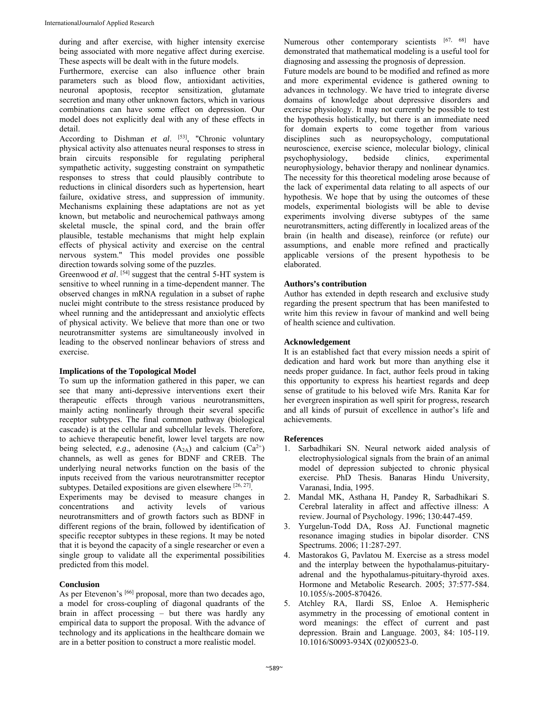during and after exercise, with higher intensity exercise being associated with more negative affect during exercise. These aspects will be dealt with in the future models.

Furthermore, exercise can also influence other brain parameters such as blood flow, antioxidant activities, neuronal apoptosis, receptor sensitization, glutamate secretion and many other unknown factors, which in various combinations can have some effect on depression. Our model does not explicitly deal with any of these effects in detail.

According to Dishman *et al.* <sup>[53]</sup>, "Chronic voluntary physical activity also attenuates neural responses to stress in brain circuits responsible for regulating peripheral sympathetic activity, suggesting constraint on sympathetic responses to stress that could plausibly contribute to reductions in clinical disorders such as hypertension, heart failure, oxidative stress, and suppression of immunity. Mechanisms explaining these adaptations are not as yet known, but metabolic and neurochemical pathways among skeletal muscle, the spinal cord, and the brain offer plausible, testable mechanisms that might help explain effects of physical activity and exercise on the central nervous system." This model provides one possible direction towards solving some of the puzzles.

Greenwood *et al.* [54] suggest that the central 5-HT system is sensitive to wheel running in a time-dependent manner. The observed changes in mRNA regulation in a subset of raphe nuclei might contribute to the stress resistance produced by wheel running and the antidepressant and anxiolytic effects of physical activity. We believe that more than one or two neurotransmitter systems are simultaneously involved in leading to the observed nonlinear behaviors of stress and exercise.

#### **Implications of the Topological Model**

To sum up the information gathered in this paper, we can see that many anti-depressive interventions exert their therapeutic effects through various neurotransmitters, mainly acting nonlinearly through their several specific receptor subtypes. The final common pathway (biological cascade) is at the cellular and subcellular levels. Therefore, to achieve therapeutic benefit, lower level targets are now being selected, *e.g.*, adenosine  $(A_{2A})$  and calcium  $(Ca^{2+})$ channels, as well as genes for BDNF and CREB. The underlying neural networks function on the basis of the inputs received from the various neurotransmitter receptor subtypes. Detailed expositions are given elsewhere [26, 27]. Experiments may be devised to measure changes in concentrations and activity levels of various concentrations and activity levels neurotransmitters and of growth factors such as BDNF in different regions of the brain, followed by identification of specific receptor subtypes in these regions. It may be noted that it is beyond the capacity of a single researcher or even a single group to validate all the experimental possibilities predicted from this model.

#### **Conclusion**

As per Etevenon's [66] proposal, more than two decades ago, a model for cross-coupling of diagonal quadrants of the brain in affect processing – but there was hardly any empirical data to support the proposal. With the advance of technology and its applications in the healthcare domain we are in a better position to construct a more realistic model.

Numerous other contemporary scientists [67, 68] have demonstrated that mathematical modeling is a useful tool for diagnosing and assessing the prognosis of depression.

Future models are bound to be modified and refined as more and more experimental evidence is gathered owning to advances in technology. We have tried to integrate diverse domains of knowledge about depressive disorders and exercise physiology. It may not currently be possible to test the hypothesis holistically, but there is an immediate need for domain experts to come together from various disciplines such as neuropsychology, computational neuroscience, exercise science, molecular biology, clinical psychophysiology, bedside clinics, experimental neurophysiology, behavior therapy and nonlinear dynamics. The necessity for this theoretical modeling arose because of the lack of experimental data relating to all aspects of our hypothesis. We hope that by using the outcomes of these models, experimental biologists will be able to devise experiments involving diverse subtypes of the same neurotransmitters, acting differently in localized areas of the brain (in health and disease), reinforce (or refute) our assumptions, and enable more refined and practically applicable versions of the present hypothesis to be elaborated.

#### **Authors's contribution**

Author has extended in depth research and exclusive study regarding the present spectrum that has been manifested to write him this review in favour of mankind and well being of health science and cultivation.

#### **Acknowledgement**

It is an established fact that every mission needs a spirit of dedication and hard work but more than anything else it needs proper guidance. In fact, author feels proud in taking this opportunity to express his heartiest regards and deep sense of gratitude to his beloved wife Mrs. Ranita Kar for her evergreen inspiration as well spirit for progress, research and all kinds of pursuit of excellence in author's life and achievements.

#### **References**

- 1. Sarbadhikari SN. Neural network aided analysis of electrophysiological signals from the brain of an animal model of depression subjected to chronic physical exercise. PhD Thesis. Banaras Hindu University, Varanasi, India, 1995.
- 2. Mandal MK, Asthana H, Pandey R, Sarbadhikari S. Cerebral laterality in affect and affective illness: A review. Journal of Psychology. 1996; 130:447-459.
- 3. Yurgelun-Todd DA, Ross AJ. Functional magnetic resonance imaging studies in bipolar disorder. CNS Spectrums. 2006; 11:287-297.
- 4. Mastorakos G, Pavlatou M. Exercise as a stress model and the interplay between the hypothalamus-pituitaryadrenal and the hypothalamus-pituitary-thyroid axes. Hormone and Metabolic Research. 2005; 37:577-584. 10.1055/s-2005-870426.
- 5. Atchley RA, Ilardi SS, Enloe A. Hemispheric asymmetry in the processing of emotional content in word meanings: the effect of current and past depression. Brain and Language. 2003, 84: 105-119. 10.1016/S0093-934X (02)00523-0.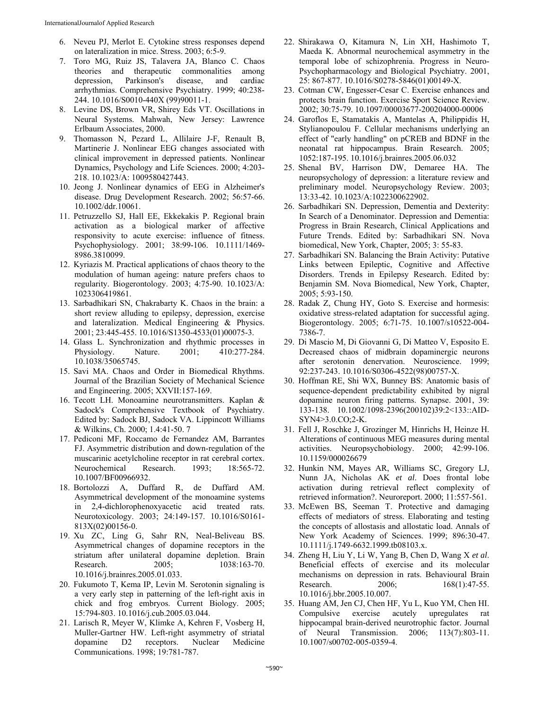- 6. Neveu PJ, Merlot E. Cytokine stress responses depend on lateralization in mice. Stress. 2003; 6:5-9.
- 7. Toro MG, Ruiz JS, Talavera JA, Blanco C. Chaos theories and therapeutic commonalities among depression, Parkinson's disease, and cardiac arrhythmias. Comprehensive Psychiatry. 1999; 40:238- 244. 10.1016/S0010-440X (99)90011-1.
- 8. Levine DS, Brown VR, Shirey Eds VT. Oscillations in Neural Systems. Mahwah, New Jersey: Lawrence Erlbaum Associates, 2000.
- 9. Thomasson N, Pezard L, Allilaire J-F, Renault B, Martinerie J. Nonlinear EEG changes associated with clinical improvement in depressed patients. Nonlinear Dynamics, Psychology and Life Sciences. 2000; 4:203- 218. 10.1023/A: 1009580427443.
- 10. Jeong J. Nonlinear dynamics of EEG in Alzheimer's disease. Drug Development Research. 2002; 56:57-66. 10.1002/ddr.10061.
- 11. Petruzzello SJ, Hall EE, Ekkekakis P. Regional brain activation as a biological marker of affective responsivity to acute exercise: influence of fitness. Psychophysiology. 2001; 38:99-106. 10.1111/1469- 8986.3810099.
- 12. Kyriazis M. Practical applications of chaos theory to the modulation of human ageing: nature prefers chaos to regularity. Biogerontology. 2003; 4:75-90. 10.1023/A: 1023306419861.
- 13. Sarbadhikari SN, Chakrabarty K. Chaos in the brain: a short review alluding to epilepsy, depression, exercise and lateralization. Medical Engineering & Physics. 2001; 23:445-455. 10.1016/S1350-4533(01)00075-3.
- 14. Glass L. Synchronization and rhythmic processes in Physiology. Nature. 2001; 410:277-284. 10.1038/35065745.
- 15. Savi MA. Chaos and Order in Biomedical Rhythms. Journal of the Brazilian Society of Mechanical Science and Engineering. 2005; XXVII:157-169.
- 16. Tecott LH. Monoamine neurotransmitters. Kaplan & Sadock's Comprehensive Textbook of Psychiatry. Edited by: Sadock BJ, Sadock VA. Lippincott Williams & Wilkins, Ch. 2000; 1.4:41-50. 7
- 17. Pediconi MF, Roccamo de Fernandez AM, Barrantes FJ. Asymmetric distribution and down-regulation of the muscarinic acetylcholine receptor in rat cerebral cortex. Neurochemical Research. 1993; 18:565-72. 10.1007/BF00966932.
- 18. Bortolozzi A, Duffard R, de Duffard AM. Asymmetrical development of the monoamine systems in 2,4-dichlorophenoxyacetic acid treated rats. Neurotoxicology. 2003; 24:149-157. 10.1016/S0161- 813X(02)00156-0.
- 19. Xu ZC, Ling G, Sahr RN, Neal-Beliveau BS. Asymmetrical changes of dopamine receptors in the striatum after unilateral dopamine depletion. Brain Research. 2005; 1038:163-70. 10.1016/j.brainres.2005.01.033.
- 20. Fukumoto T, Kema IP, Levin M. Serotonin signaling is a very early step in patterning of the left-right axis in chick and frog embryos. Current Biology. 2005; 15:794-803. 10.1016/j.cub.2005.03.044.
- 21. Larisch R, Meyer W, Klimke A, Kehren F, Vosberg H, Muller-Gartner HW. Left-right asymmetry of striatal dopamine D2 receptors. Nuclear Medicine Communications. 1998; 19:781-787.
- 22. Shirakawa O, Kitamura N, Lin XH, Hashimoto T, Maeda K. Abnormal neurochemical asymmetry in the temporal lobe of schizophrenia. Progress in Neuro-Psychopharmacology and Biological Psychiatry. 2001, 25: 867-877. 10.1016/S0278-5846(01)00149-X.
- 23. Cotman CW, Engesser-Cesar C. Exercise enhances and protects brain function. Exercise Sport Science Review. 2002; 30:75-79. 10.1097/00003677-200204000-00006
- 24. Garoflos E, Stamatakis A, Mantelas A, Philippidis H, Stylianopoulou F. Cellular mechanisms underlying an effect of "early handling" on pCREB and BDNF in the neonatal rat hippocampus. Brain Research. 2005; 1052:187-195. 10.1016/j.brainres.2005.06.032
- 25. Shenal BV, Harrison DW, Demaree HA. The neuropsychology of depression: a literature review and preliminary model. Neuropsychology Review. 2003; 13:33-42. 10.1023/A:1022300622902.
- 26. Sarbadhikari SN. Depression, Dementia and Dexterity: In Search of a Denominator. Depression and Dementia: Progress in Brain Research, Clinical Applications and Future Trends. Edited by: Sarbadhikari SN. Nova biomedical, New York, Chapter, 2005; 3: 55-83.
- 27. Sarbadhikari SN. Balancing the Brain Activity: Putative Links between Epileptic, Cognitive and Affective Disorders. Trends in Epilepsy Research. Edited by: Benjamin SM. Nova Biomedical, New York, Chapter, 2005; 5:93-150.
- 28. Radak Z, Chung HY, Goto S. Exercise and hormesis: oxidative stress-related adaptation for successful aging. Biogerontology. 2005; 6:71-75. 10.1007/s10522-004- 7386-7.
- 29. Di Mascio M, Di Giovanni G, Di Matteo V, Esposito E. Decreased chaos of midbrain dopaminergic neurons after serotonin denervation. Neuroscience. 1999; 92:237-243. 10.1016/S0306-4522(98)00757-X.
- 30. Hoffman RE, Shi WX, Bunney BS: Anatomic basis of sequence-dependent predictability exhibited by nigral dopamine neuron firing patterns. Synapse. 2001, 39: 133-138. 10.1002/1098-2396(200102)39:2<133::AID-SYN4>3.0.CO;2-K.
- 31. Fell J, Roschke J, Grozinger M, Hinrichs H, Heinze H. Alterations of continuous MEG measures during mental activities. Neuropsychobiology. 2000; 42:99-106. 10.1159/000026679
- 32. Hunkin NM, Mayes AR, Williams SC, Gregory LJ, Nunn JA, Nicholas AK *et al*. Does frontal lobe activation during retrieval reflect complexity of retrieved information?. Neuroreport. 2000; 11:557-561.
- 33. McEwen BS, Seeman T. Protective and damaging effects of mediators of stress. Elaborating and testing the concepts of allostasis and allostatic load. Annals of New York Academy of Sciences. 1999; 896:30-47. 10.1111/j.1749-6632.1999.tb08103.x.
- 34. Zheng H, Liu Y, Li W, Yang B, Chen D, Wang X *et al*. Beneficial effects of exercise and its molecular mechanisms on depression in rats. Behavioural Brain Research. 2006; 168(1):47-55. 10.1016/j.bbr.2005.10.007.
- 35. Huang AM, Jen CJ, Chen HF, Yu L, Kuo YM, Chen HI. Compulsive exercise acutely upregulates rat hippocampal brain-derived neurotrophic factor. Journal of Neural Transmission. 2006; 113(7):803-11. 10.1007/s00702-005-0359-4.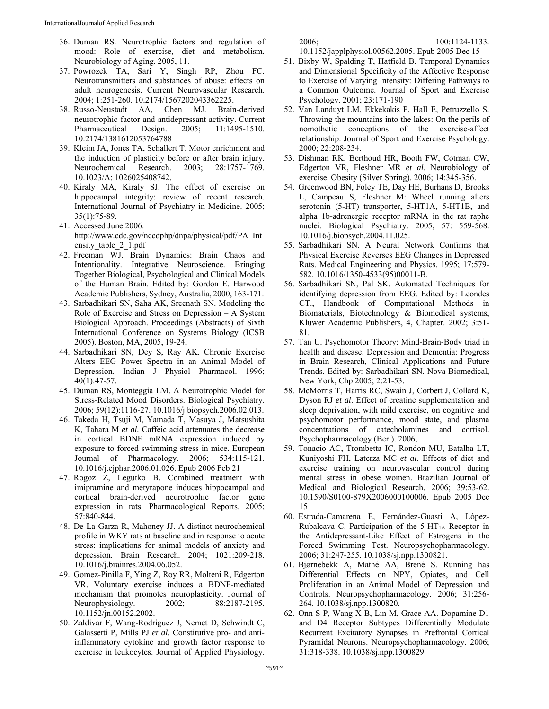- 36. Duman RS. Neurotrophic factors and regulation of mood: Role of exercise, diet and metabolism. Neurobiology of Aging. 2005, 11.
- 37. Powrozek TA, Sari Y, Singh RP, Zhou FC. Neurotransmitters and substances of abuse: effects on adult neurogenesis. Current Neurovascular Research. 2004; 1:251-260. 10.2174/1567202043362225.
- 38. Russo-Neustadt AA, Chen MJ. Brain-derived neurotrophic factor and antidepressant activity. Current Pharmaceutical Design. 2005; 11:1495-1510. 10.2174/1381612053764788
- 39. Kleim JA, Jones TA, Schallert T. Motor enrichment and the induction of plasticity before or after brain injury. Neurochemical Research. 2003; 28:1757-1769. 10.1023/A: 1026025408742.
- 40. Kiraly MA, Kiraly SJ. The effect of exercise on hippocampal integrity: review of recent research. International Journal of Psychiatry in Medicine. 2005; 35(1):75-89.
- 41. Accessed June 2006. http://www.cdc.gov/nccdphp/dnpa/physical/pdf/PA\_Int ensity table 2 1.pdf
- 42. Freeman WJ. Brain Dynamics: Brain Chaos and Intentionality. Integrative Neuroscience. Bringing Together Biological, Psychological and Clinical Models of the Human Brain. Edited by: Gordon E. Harwood Academic Publishers, Sydney, Australia, 2000, 163-171.
- 43. Sarbadhikari SN, Saha AK, Sreenath SN. Modeling the Role of Exercise and Stress on Depression – A System Biological Approach. Proceedings (Abstracts) of Sixth International Conference on Systems Biology (ICSB 2005). Boston, MA, 2005, 19-24,
- 44. Sarbadhikari SN, Dey S, Ray AK. Chronic Exercise Alters EEG Power Spectra in an Animal Model of Depression. Indian J Physiol Pharmacol. 1996; 40(1):47-57.
- 45. Duman RS, Monteggia LM. A Neurotrophic Model for Stress-Related Mood Disorders. Biological Psychiatry. 2006; 59(12):1116-27. 10.1016/j.biopsych.2006.02.013.
- 46. Takeda H, Tsuji M, Yamada T, Masuya J, Matsushita K, Tahara M *et al.* Caffeic acid attenuates the decrease in cortical BDNF mRNA expression induced by exposure to forced swimming stress in mice. European Journal of Pharmacology. 2006; 534:115-121. 10.1016/j.ejphar.2006.01.026. Epub 2006 Feb 21
- 47. Rogoz Z, Legutko B. Combined treatment with imipramine and metyrapone induces hippocampal and cortical brain-derived neurotrophic factor gene expression in rats. Pharmacological Reports. 2005; 57:840-844.
- 48. De La Garza R, Mahoney JJ. A distinct neurochemical profile in WKY rats at baseline and in response to acute stress: implications for animal models of anxiety and depression. Brain Research. 2004; 1021:209-218. 10.1016/j.brainres.2004.06.052.
- 49. Gomez-Pinilla F, Ying Z, Roy RR, Molteni R, Edgerton VR. Voluntary exercise induces a BDNF-mediated mechanism that promotes neuroplasticity. Journal of Neurophysiology. 2002; 88:2187-2195. 10.1152/jn.00152.2002.
- 50. Zaldivar F, Wang-Rodriguez J, Nemet D, Schwindt C, Galassetti P, Mills PJ *et al*. Constitutive pro- and antiinflammatory cytokine and growth factor response to exercise in leukocytes. Journal of Applied Physiology.

2006; 100:1124-1133.

10.1152/japplphysiol.00562.2005. Epub 2005 Dec 15

- 51. Bixby W, Spalding T, Hatfield B. Temporal Dynamics and Dimensional Specificity of the Affective Response to Exercise of Varying Intensity: Differing Pathways to a Common Outcome. Journal of Sport and Exercise Psychology. 2001; 23:171-190
- 52. Van Landuyt LM, Ekkekakis P, Hall E, Petruzzello S. Throwing the mountains into the lakes: On the perils of nomothetic conceptions of the exercise-affect relationship. Journal of Sport and Exercise Psychology. 2000; 22:208-234.
- 53. Dishman RK, Berthoud HR, Booth FW, Cotman CW, Edgerton VR, Fleshner MR *et al*. Neurobiology of exercise. Obesity (Silver Spring). 2006; 14:345-356.
- 54. Greenwood BN, Foley TE, Day HE, Burhans D, Brooks L, Campeau S, Fleshner M: Wheel running alters serotonin (5-HT) transporter, 5-HT1A, 5-HT1B, and alpha 1b-adrenergic receptor mRNA in the rat raphe nuclei. Biological Psychiatry. 2005, 57: 559-568. 10.1016/j.biopsych.2004.11.025.
- 55. Sarbadhikari SN. A Neural Network Confirms that Physical Exercise Reverses EEG Changes in Depressed Rats. Medical Engineering and Physics. 1995; 17:579- 582. 10.1016/1350-4533(95)00011-B.
- 56. Sarbadhikari SN, Pal SK. Automated Techniques for identifying depression from EEG. Edited by: Leondes CT., Handbook of Computational Methods in Biomaterials, Biotechnology & Biomedical systems, Kluwer Academic Publishers, 4, Chapter. 2002; 3:51- 81.
- 57. Tan U. Psychomotor Theory: Mind-Brain-Body triad in health and disease. Depression and Dementia: Progress in Brain Research, Clinical Applications and Future Trends. Edited by: Sarbadhikari SN. Nova Biomedical, New York, Chp 2005; 2:21-53.
- 58. McMorris T, Harris RC, Swain J, Corbett J, Collard K, Dyson RJ *et al*. Effect of creatine supplementation and sleep deprivation, with mild exercise, on cognitive and psychomotor performance, mood state, and plasma concentrations of catecholamines and cortisol. Psychopharmacology (Berl). 2006,
- 59. Tonacio AC, Trombetta IC, Rondon MU, Batalha LT, Kuniyoshi FH, Laterza MC *et al*. Effects of diet and exercise training on neurovascular control during mental stress in obese women. Brazilian Journal of Medical and Biological Research. 2006; 39:53-62. 10.1590/S0100-879X2006000100006. Epub 2005 Dec 15
- 60. Estrada-Camarena E, Fernández-Guasti A, López-Rubalcava C. Participation of the 5-HT1A Receptor in the Antidepressant-Like Effect of Estrogens in the Forced Swimming Test. Neuropsychopharmacology. 2006; 31:247-255. 10.1038/sj.npp.1300821.
- 61. Bjørnebekk A, Mathé AA, Brené S. Running has Differential Effects on NPY, Opiates, and Cell Proliferation in an Animal Model of Depression and Controls. Neuropsychopharmacology. 2006; 31:256- 264. 10.1038/sj.npp.1300820.
- 62. Onn S-P, Wang X-B, Lin M, Grace AA. Dopamine D1 and D4 Receptor Subtypes Differentially Modulate Recurrent Excitatory Synapses in Prefrontal Cortical Pyramidal Neurons. Neuropsychopharmacology. 2006; 31:318-338. 10.1038/sj.npp.1300829